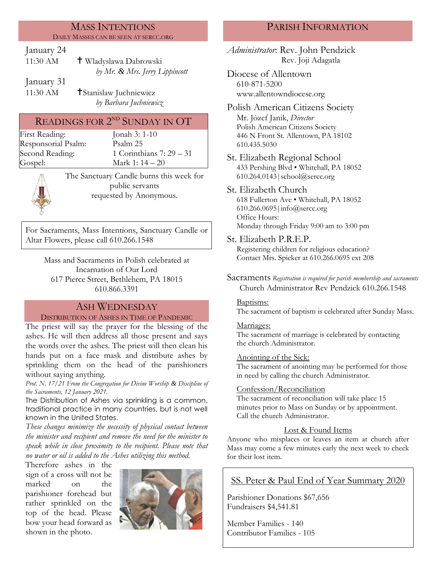#### MASS INTENTIONS DAILY MASSES CAN BE SEEN AT SERCC.ORG

## January 24

| 11:30 AM | † Wladyslawa Dabrowski         |
|----------|--------------------------------|
|          | by Mr. & Mrs. Jerry Lippincott |

January 31

11:30 AM **T**Stanislaw Juchniewicz *by Barbara Juchniewicz*

# READINGS FOR  $2^{ND}$  SUNDAY IN OT

First Reading: Jonah 3: 1-10 Responsorial Psalm: [Psalm](http://www.usccb.org/bible/readings/bible/psalms/25:4) 25

Second Reading: 1 Corinthians 7: 29 – 31 Gospel: Mark 1: 14 – 20

The Sanctuary Candle burns this week for public servants requested by Anonymous.

For Sacraments, Mass Intentions, Sanctuary Candle or Altar Flowers, please call 610.266.1548

> Mass and Sacraments in Polish celebrated at Incarnation of Our Lord 617 Pierce Street, Bethlehem, PA 18015 610.866.3391

## ASH WEDNESDAY

### DISTRIBUTION OF ASHES IN TIME OF PANDEMIC

The priest will say the prayer for the blessing of the ashes. He will then address all those present and says the words over the ashes. The priest will then clean his hands put on a face mask and distribute ashes by sprinkling them on the head of the parishioners without saying anything*.*

*Prot. N. 17/21 From the Congregation for Divine Worship & Discipline of the Sacraments, 12 January 2021.*

The Distribution of Ashes via sprinkling is a common, traditional practice in many countries, but is not well known in the United States.

*These changes minimize the necessity of physical contact between the minister and recipient and remove the need for the minister to speak while in close proximity to the recipient. Please note that no water or oil is added to the Ashes utilizing this method.*

Therefore ashes in the sign of a cross will not be marked on the parishioner forehead but rather sprinkled on the top of the head. Please bow your head forward as shown in the photo.



# PARISH INFORMATION

*Administrator*: Rev. John Pendzick Rev. Joji Adagatla

Diocese of Allentown 610-871-5200 www.allentowndiocese.org

Polish American Citizens Society Mr. Jòzef Janik, *Director* Polish American Citizens Society 446 N Front St. Allentown, PA 18102 610.435.5030

St. Elizabeth Regional School 433 Pershing Blvd • Whitehall, PA 18052 610.264.0143|school@sercc.org

### St. Elizabeth Church

618 Fullerton Ave • Whitehall, PA 18052 610.266.0695|info@sercc.org Office Hours: Monday through Friday 9:00 am to 3:00 pm

St. Elizabeth P.R.E.P.

Registering children for religious education? Contact Mrs. Spieker at 610.266.0695 ext 208

Sacraments *Registration is required for parish membership and sacraments* Church Administrator Rev Pendzick 610.266.1548

### Baptisms:

The sacrament of baptism is celebrated after Sunday Mass.

### Marriages:

The sacrament of marriage is celebrated by contacting the church Administrator.

### Anointing of the Sick:

The sacrament of anointing may be performed for those in need by calling the church Administrator.

### Confession/Reconciliation

The sacrament of reconciliation will take place 15 minutes prior to Mass on Sunday or by appointment. Call the church Administrator.

## Lost & Found Items

Anyone who misplaces or leaves an item at church after Mass may come a few minutes early the next week to check for their lost item.

# SS. Peter & Paul End of Year Summary 2020

Parishioner Donations \$67,656 Fundraisers \$4,541.81

Member Families - 140 Contributor Families - 105